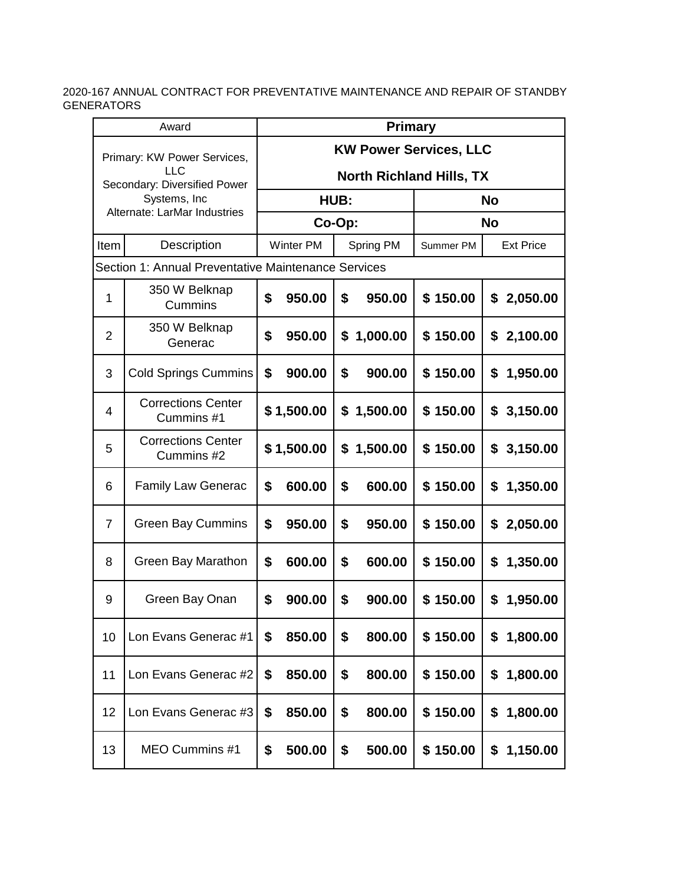| Award                                                              |                                                     |                                 | <b>Primary</b>   |      |           |           |                  |  |  |  |
|--------------------------------------------------------------------|-----------------------------------------------------|---------------------------------|------------------|------|-----------|-----------|------------------|--|--|--|
| Primary: KW Power Services,<br>LLC<br>Secondary: Diversified Power |                                                     | <b>KW Power Services, LLC</b>   |                  |      |           |           |                  |  |  |  |
|                                                                    |                                                     | <b>North Richland Hills, TX</b> |                  |      |           |           |                  |  |  |  |
|                                                                    | Systems, Inc<br>Alternate: LarMar Industries        |                                 |                  | HUB: |           |           | <b>No</b>        |  |  |  |
|                                                                    |                                                     |                                 | Co-Op:           |      |           |           | <b>No</b>        |  |  |  |
| Item                                                               | <b>Description</b>                                  |                                 | <b>Winter PM</b> |      | Spring PM | Summer PM | <b>Ext Price</b> |  |  |  |
|                                                                    | Section 1: Annual Preventative Maintenance Services |                                 |                  |      |           |           |                  |  |  |  |
| $\mathbf{1}$                                                       | 350 W Belknap<br>Cummins                            | \$                              | 950.00           | \$   | 950.00    | \$150.00  | 2,050.00<br>\$   |  |  |  |
| $\overline{2}$                                                     | 350 W Belknap<br>Generac                            | \$                              | 950.00           | \$   | 1,000.00  | \$150.00  | 2,100.00<br>\$   |  |  |  |
| 3                                                                  | <b>Cold Springs Cummins</b>                         | \$                              | 900.00           | \$   | 900.00    | \$150.00  | 1,950.00<br>\$   |  |  |  |
| 4                                                                  | <b>Corrections Center</b><br>Cummins #1             |                                 | \$1,500.00       | \$   | 1,500.00  | \$150.00  | 3,150.00<br>\$   |  |  |  |
| 5                                                                  | <b>Corrections Center</b><br>Cummins #2             |                                 | \$1,500.00       | \$   | 1,500.00  | \$150.00  | 3,150.00<br>\$   |  |  |  |
| 6                                                                  | <b>Family Law Generac</b>                           | \$                              | 600.00           | \$   | 600.00    | \$150.00  | 1,350.00<br>\$   |  |  |  |
| $\overline{7}$                                                     | <b>Green Bay Cummins</b>                            | \$                              | 950.00           | \$   | 950.00    | \$150.00  | 2,050.00<br>\$   |  |  |  |
| 8                                                                  | Green Bay Marathon                                  | \$                              | 600.00           | \$   | 600.00    | \$150.00  | 1,350.00<br>\$   |  |  |  |
| 9                                                                  | Green Bay Onan                                      | \$                              | 900.00           | \$   | 900.00    | \$150.00  | \$<br>1,950.00   |  |  |  |
| 10                                                                 | Lon Evans Generac #1                                | \$                              | 850.00           | \$   | 800.00    | \$150.00  | 1,800.00<br>\$   |  |  |  |
| 11                                                                 | Lon Evans Generac #2                                | \$                              | 850.00           | \$   | 800.00    | \$150.00  | 1,800.00<br>\$   |  |  |  |
| 12                                                                 | Lon Evans Generac #3                                | \$                              | 850.00           | \$   | 800.00    | \$150.00  | 1,800.00<br>\$   |  |  |  |
| 13                                                                 | MEO Cummins #1                                      | \$                              | 500.00           | \$   | 500.00    | \$150.00  | \$<br>1,150.00   |  |  |  |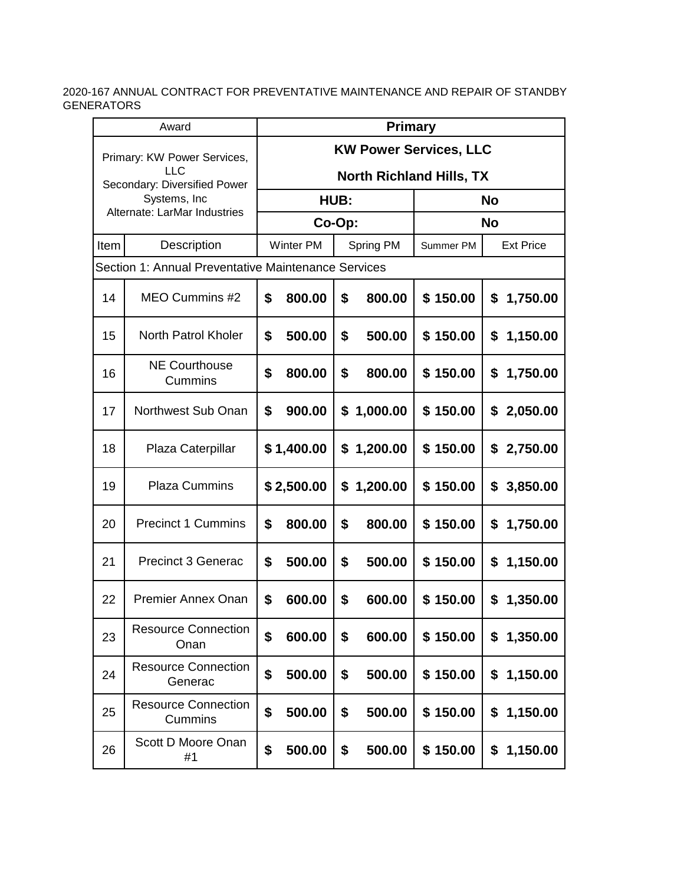| Award                               |                                                     |                                                                  | <b>Primary</b>   |      |           |           |                  |  |  |  |
|-------------------------------------|-----------------------------------------------------|------------------------------------------------------------------|------------------|------|-----------|-----------|------------------|--|--|--|
| Primary: KW Power Services,<br>LLC. |                                                     | <b>KW Power Services, LLC</b><br><b>North Richland Hills, TX</b> |                  |      |           |           |                  |  |  |  |
|                                     | Secondary: Diversified Power<br>Systems, Inc        |                                                                  |                  | HUB: |           |           | <b>No</b>        |  |  |  |
|                                     | Alternate: LarMar Industries                        |                                                                  | Co-Op:           |      |           |           | <b>No</b>        |  |  |  |
| Item                                | Description                                         |                                                                  | <b>Winter PM</b> |      | Spring PM | Summer PM | <b>Ext Price</b> |  |  |  |
|                                     | Section 1: Annual Preventative Maintenance Services |                                                                  |                  |      |           |           |                  |  |  |  |
| 14                                  | MEO Cummins #2                                      | \$                                                               | 800.00           | \$   | 800.00    | \$150.00  | \$<br>1,750.00   |  |  |  |
| 15                                  | North Patrol Kholer                                 | \$                                                               | 500.00           | \$   | 500.00    | \$150.00  | 1,150.00<br>\$   |  |  |  |
| 16                                  | <b>NE Courthouse</b><br>Cummins                     | \$                                                               | 800.00           | \$   | 800.00    | \$150.00  | 1,750.00<br>\$   |  |  |  |
| 17                                  | Northwest Sub Onan                                  | \$                                                               | 900.00           | \$   | 1,000.00  | \$150.00  | 2,050.00<br>\$   |  |  |  |
| 18                                  | Plaza Caterpillar                                   |                                                                  | \$1,400.00       | \$   | 1,200.00  | \$150.00  | 2,750.00<br>\$   |  |  |  |
| 19                                  | <b>Plaza Cummins</b>                                |                                                                  | \$2,500.00       | \$   | 1,200.00  | \$150.00  | 3,850.00<br>\$   |  |  |  |
| 20                                  | <b>Precinct 1 Cummins</b>                           | \$                                                               | 800.00           | \$   | 800.00    | \$150.00  | 1,750.00<br>\$   |  |  |  |
| 21                                  | <b>Precinct 3 Generac</b>                           | \$                                                               | 500.00           | \$   | 500.00    | \$150.00  | 1,150.00<br>\$   |  |  |  |
| 22                                  | <b>Premier Annex Onan</b>                           | \$                                                               | 600.00           | \$   | 600.00    | \$150.00  | \$<br>1,350.00   |  |  |  |
| 23                                  | <b>Resource Connection</b><br>Onan                  | \$                                                               | 600.00           | \$   | 600.00    | \$150.00  | 1,350.00<br>\$   |  |  |  |
| 24                                  | <b>Resource Connection</b><br>Generac               | \$                                                               | 500.00           | \$   | 500.00    | \$150.00  | \$<br>1,150.00   |  |  |  |
| 25                                  | <b>Resource Connection</b><br>Cummins               | \$                                                               | 500.00           | \$   | 500.00    | \$150.00  | 1,150.00<br>\$   |  |  |  |
| 26                                  | Scott D Moore Onan<br>#1                            | \$                                                               | 500.00           | \$   | 500.00    | \$150.00  | \$<br>1,150.00   |  |  |  |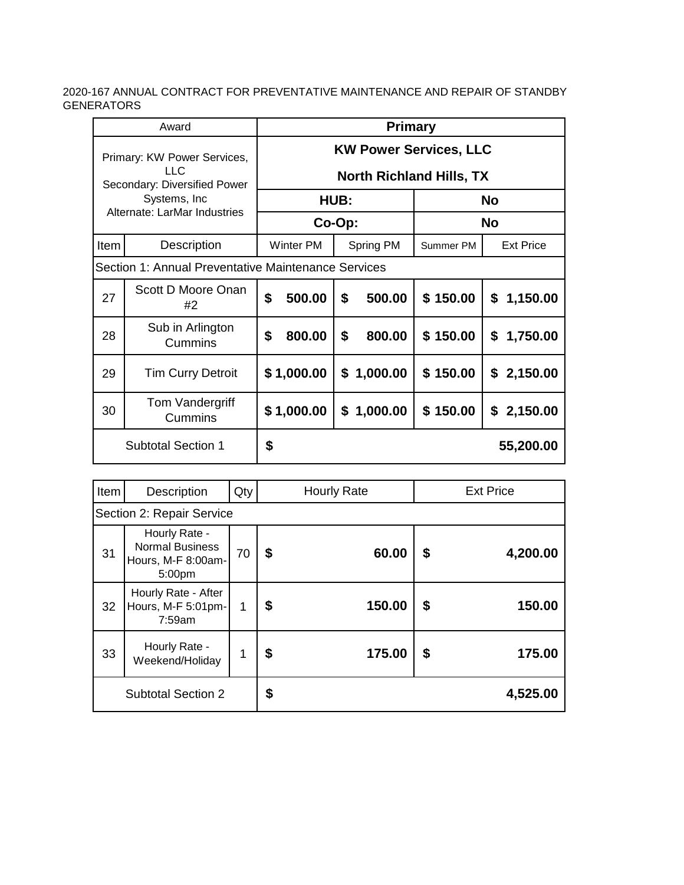|                                                                                                                      | Award                       | <b>Primary</b> |                                                                  |        |            |           |           |                  |  |  |
|----------------------------------------------------------------------------------------------------------------------|-----------------------------|----------------|------------------------------------------------------------------|--------|------------|-----------|-----------|------------------|--|--|
| Primary: KW Power Services,<br>LLC.<br>Secondary: Diversified Power<br>Systems, Inc.<br>Alternate: LarMar Industries |                             |                | <b>KW Power Services, LLC</b><br><b>North Richland Hills, TX</b> |        |            |           |           |                  |  |  |
|                                                                                                                      |                             |                |                                                                  | HUB:   |            |           | <b>No</b> |                  |  |  |
|                                                                                                                      |                             |                |                                                                  | Co-Op: |            |           | <b>No</b> |                  |  |  |
| Item                                                                                                                 | Description                 |                | Winter PM                                                        |        | Spring PM  | Summer PM |           | <b>Ext Price</b> |  |  |
| Section 1: Annual Preventative Maintenance Services                                                                  |                             |                |                                                                  |        |            |           |           |                  |  |  |
| 27                                                                                                                   | Scott D Moore Onan<br>#2    | \$             | 500.00                                                           | \$     | 500.00     | \$150.00  | \$        | 1,150.00         |  |  |
| 28                                                                                                                   | Sub in Arlington<br>Cummins | \$             | 800.00                                                           | \$     | 800.00     | \$150.00  | \$        | 1,750.00         |  |  |
| 29                                                                                                                   | <b>Tim Curry Detroit</b>    |                | \$1,000.00                                                       |        | \$1,000.00 | \$150.00  |           | \$2,150.00       |  |  |
| 30                                                                                                                   | Tom Vandergriff<br>Cummins  |                | \$1,000.00                                                       |        | \$1,000.00 | \$150.00  | \$        | 2,150.00         |  |  |
|                                                                                                                      | <b>Subtotal Section 1</b>   | \$             |                                                                  |        |            |           |           | 55,200.00        |  |  |

| Item | Description                                                             | Qty | <b>Hourly Rate</b> |        |    | <b>Ext Price</b> |  |  |  |  |  |
|------|-------------------------------------------------------------------------|-----|--------------------|--------|----|------------------|--|--|--|--|--|
|      | Section 2: Repair Service                                               |     |                    |        |    |                  |  |  |  |  |  |
| 31   | Hourly Rate -<br><b>Normal Business</b><br>Hours, M-F 8:00am-<br>5:00pm | 70  | \$                 | 60.00  | \$ | 4,200.00         |  |  |  |  |  |
| 32   | Hourly Rate - After<br>Hours, M-F 5:01pm-<br>7:59am                     | 1   | \$                 | 150.00 | \$ | 150.00           |  |  |  |  |  |
| 33   | Hourly Rate -<br>Weekend/Holiday                                        | 1   | \$                 | 175.00 | \$ | 175.00           |  |  |  |  |  |
|      | <b>Subtotal Section 2</b>                                               |     | \$                 |        |    | 4,525.00         |  |  |  |  |  |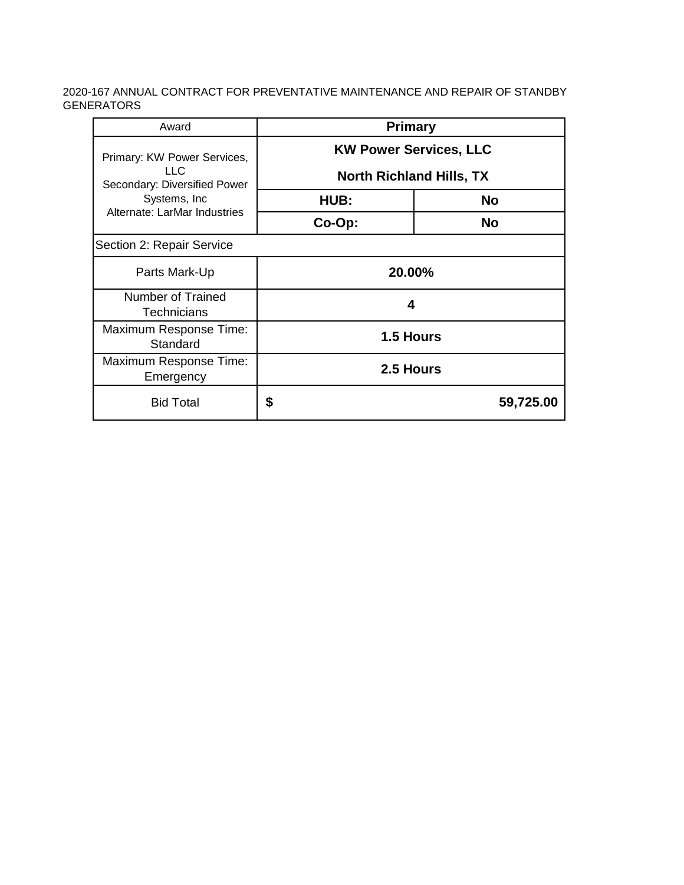| Award                                | <b>Primary</b>                  |           |  |  |  |  |  |
|--------------------------------------|---------------------------------|-----------|--|--|--|--|--|
| Primary: KW Power Services,          | <b>KW Power Services, LLC</b>   |           |  |  |  |  |  |
| LLC.<br>Secondary: Diversified Power | <b>North Richland Hills, TX</b> |           |  |  |  |  |  |
| Systems, Inc.                        | HUB:                            | <b>No</b> |  |  |  |  |  |
| Alternate: LarMar Industries         | Co-Op:                          | <b>No</b> |  |  |  |  |  |
| Section 2: Repair Service            |                                 |           |  |  |  |  |  |
| Parts Mark-Up                        | 20.00%                          |           |  |  |  |  |  |
| Number of Trained<br>Technicians     | 4                               |           |  |  |  |  |  |
| Maximum Response Time:<br>Standard   | 1.5 Hours                       |           |  |  |  |  |  |
| Maximum Response Time:<br>Emergency  | 2.5 Hours                       |           |  |  |  |  |  |
| <b>Bid Total</b>                     | \$                              | 59,725.00 |  |  |  |  |  |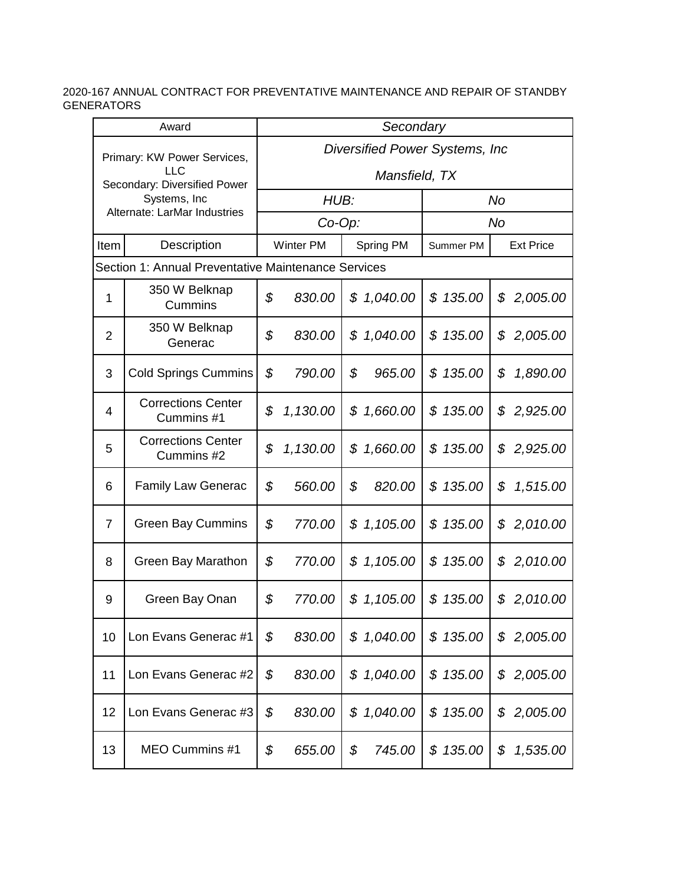| Award          |                                                     |                                 | Secondary |    |            |              |                  |  |  |  |
|----------------|-----------------------------------------------------|---------------------------------|-----------|----|------------|--------------|------------------|--|--|--|
|                | Primary: KW Power Services,                         | Diversified Power Systems, Inc. |           |    |            |              |                  |  |  |  |
|                | LLC<br>Secondary: Diversified Power                 | Mansfield, TX                   |           |    |            |              |                  |  |  |  |
|                | Systems, Inc<br>Alternate: LarMar Industries        |                                 | HUB:      |    |            |              | No               |  |  |  |
|                |                                                     |                                 | $Co-Op$ : |    |            |              | No               |  |  |  |
| Item           | Description                                         |                                 | Winter PM |    | Spring PM  | Summer PM    | <b>Ext Price</b> |  |  |  |
|                | Section 1: Annual Preventative Maintenance Services |                                 |           |    |            |              |                  |  |  |  |
| $\mathbf{1}$   | 350 W Belknap<br>Cummins                            | \$                              | 830.00    | \$ | 1,040.00   | \$<br>135.00 | \$<br>2,005.00   |  |  |  |
| $\overline{2}$ | 350 W Belknap<br>Generac                            | \$                              | 830.00    | \$ | 1,040.00   | \$<br>135.00 | \$<br>2,005.00   |  |  |  |
| 3              | <b>Cold Springs Cummins</b>                         | \$                              | 790.00    | \$ | 965.00     | 135.00<br>\$ | \$<br>1,890.00   |  |  |  |
| 4              | <b>Corrections Center</b><br>Cummins #1             | \$                              | 1,130.00  | \$ | 1,660.00   | 135.00<br>\$ | 2,925.00<br>\$   |  |  |  |
| 5              | <b>Corrections Center</b><br>Cummins #2             | \$                              | 1,130.00  | \$ | 1,660.00   | 135.00<br>\$ | \$<br>2,925.00   |  |  |  |
| 6              | <b>Family Law Generac</b>                           | \$                              | 560.00    | \$ | 820.00     | 135.00<br>\$ | \$<br>1,515.00   |  |  |  |
| 7              | <b>Green Bay Cummins</b>                            | \$                              | 770.00    |    | \$1,105.00 | 135.00<br>\$ | 2,010.00<br>\$   |  |  |  |
| 8              | Green Bay Marathon                                  | \$                              | 770.00    |    | \$1,105.00 | 135.00<br>\$ | 2,010.00<br>\$   |  |  |  |
| 9              | Green Bay Onan                                      | \$                              | 770.00    | \$ | 1,105.00   | 135.00<br>\$ | \$<br>2,010.00   |  |  |  |
| 10             | Lon Evans Generac #1                                | \$                              | 830.00    |    | \$1,040.00 | \$135.00     | 2,005.00<br>\$   |  |  |  |
| 11             | Lon Evans Generac #2                                | \$                              | 830.00    |    | \$1,040.00 | \$135.00     | 2,005.00<br>\$   |  |  |  |
| 12             | Lon Evans Generac #3                                | \$                              | 830.00    |    | \$1,040.00 | \$135.00     | 2,005.00<br>\$   |  |  |  |
| 13             | MEO Cummins #1                                      | \$                              | 655.00    | \$ | 745.00     | \$135.00     | \$<br>1,535.00   |  |  |  |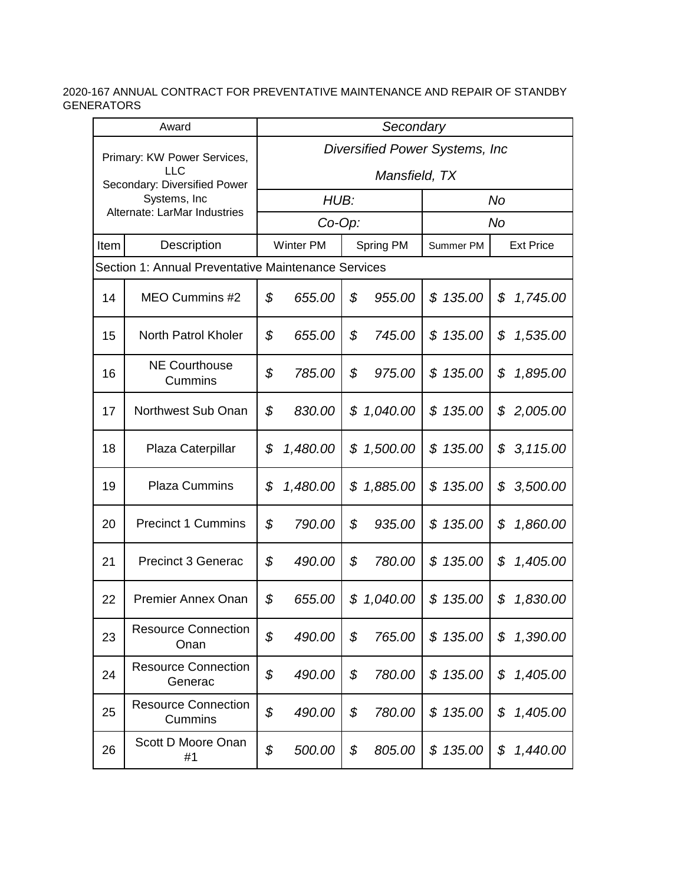| Award |                                                                                           |    | Secondary                                        |    |            |              |    |                  |  |  |
|-------|-------------------------------------------------------------------------------------------|----|--------------------------------------------------|----|------------|--------------|----|------------------|--|--|
|       | Primary: KW Power Services,<br><b>LLC</b><br>Secondary: Diversified Power<br>Systems, Inc |    | Diversified Power Systems, Inc.<br>Mansfield, TX |    |            |              |    |                  |  |  |
|       |                                                                                           |    | HUB:                                             |    |            |              | No |                  |  |  |
|       | Alternate: LarMar Industries                                                              |    | $Co-Op$ :                                        |    |            |              | No |                  |  |  |
| Item  | Description                                                                               |    | <b>Winter PM</b>                                 |    | Spring PM  | Summer PM    |    | <b>Ext Price</b> |  |  |
|       | Section 1: Annual Preventative Maintenance Services                                       |    |                                                  |    |            |              |    |                  |  |  |
| 14    | MEO Cummins #2                                                                            | \$ | 655.00                                           | \$ | 955.00     | \$135.00     | \$ | 1,745.00         |  |  |
| 15    | <b>North Patrol Kholer</b>                                                                | \$ | 655.00                                           | \$ | 745.00     | 135.00<br>\$ | \$ | 1,535.00         |  |  |
| 16    | <b>NE Courthouse</b><br>Cummins                                                           | \$ | 785.00                                           | \$ | 975.00     | 135.00<br>\$ | \$ | 1,895.00         |  |  |
| 17    | Northwest Sub Onan                                                                        | \$ | 830.00                                           |    | \$1,040.00 | \$135.00     | \$ | 2,005.00         |  |  |
| 18    | Plaza Caterpillar                                                                         | \$ | 1,480.00                                         | \$ | 1,500.00   | 135.00<br>\$ | \$ | 3, 115.00        |  |  |
| 19    | <b>Plaza Cummins</b>                                                                      | \$ | 1,480.00                                         | \$ | 1,885.00   | \$135.00     | \$ | 3,500.00         |  |  |
| 20    | <b>Precinct 1 Cummins</b>                                                                 | \$ | 790.00                                           | \$ | 935.00     | \$135.00     | \$ | 1,860.00         |  |  |
| 21    | <b>Precinct 3 Generac</b>                                                                 | \$ | 490.00                                           | \$ | 780.00     | \$135.00     | \$ | 1,405.00         |  |  |
| 22    | <b>Premier Annex Onan</b>                                                                 | \$ | 655.00                                           | \$ | 1,040.00   | \$<br>135.00 | \$ | 1,830.00         |  |  |
| 23    | <b>Resource Connection</b><br>Onan                                                        | \$ | 490.00                                           | \$ | 765.00     | \$135.00     | \$ | 1,390.00         |  |  |
| 24    | <b>Resource Connection</b><br>Generac                                                     | \$ | 490.00                                           | \$ | 780.00     | \$135.00     | \$ | 1,405.00         |  |  |
| 25    | <b>Resource Connection</b><br>Cummins                                                     | \$ | 490.00                                           | \$ | 780.00     | \$135.00     | \$ | 1,405.00         |  |  |
| 26    | Scott D Moore Onan<br>#1                                                                  | \$ | 500.00                                           | \$ | 805.00     | \$135.00     | \$ | 1,440.00         |  |  |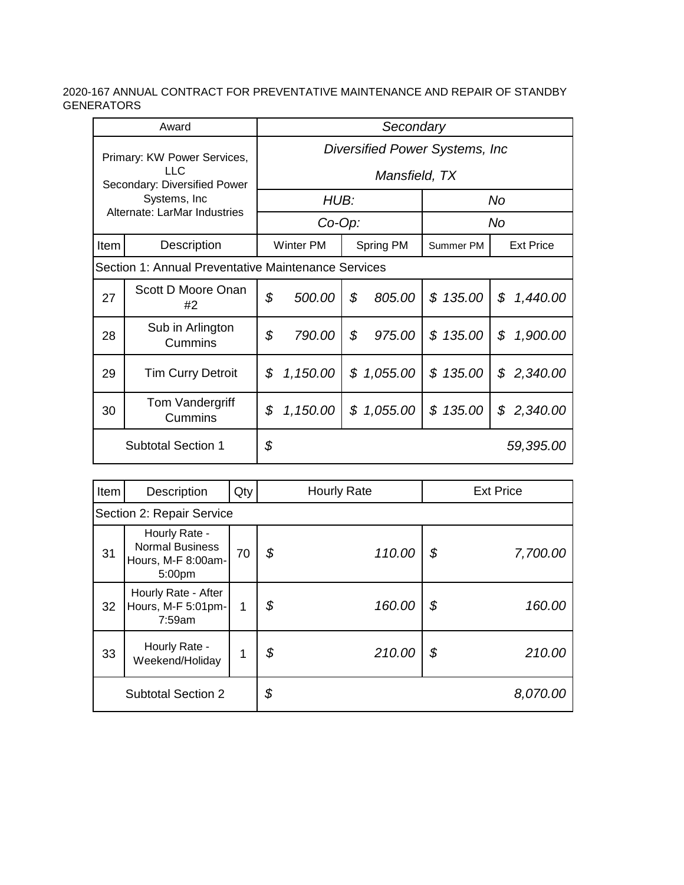|                                                                                             | Award                       | Secondary |                                 |    |           |              |                  |  |  |  |
|---------------------------------------------------------------------------------------------|-----------------------------|-----------|---------------------------------|----|-----------|--------------|------------------|--|--|--|
|                                                                                             | Primary: KW Power Services, |           | Diversified Power Systems, Inc. |    |           |              |                  |  |  |  |
| $\sqcup$ C<br>Secondary: Diversified Power<br>Systems, Inc.<br>Alternate: LarMar Industries |                             |           | Mansfield, TX                   |    |           |              |                  |  |  |  |
|                                                                                             |                             |           | HUB:                            |    |           |              | No               |  |  |  |
|                                                                                             |                             |           | $Co-Op$ :                       |    |           |              | No.              |  |  |  |
| Item                                                                                        | Description                 |           | Winter PM                       |    | Spring PM | Summer PM    | <b>Ext Price</b> |  |  |  |
| Section 1: Annual Preventative Maintenance Services                                         |                             |           |                                 |    |           |              |                  |  |  |  |
| 27                                                                                          | Scott D Moore Onan<br>#2    | \$        | 500.00                          | \$ | 805.00    | \$135.00     | \$<br>1,440.00   |  |  |  |
| 28                                                                                          | Sub in Arlington<br>Cummins | \$        | 790.00                          | \$ | 975.00    | \$135.00     | \$<br>1,900.00   |  |  |  |
| 29                                                                                          | <b>Tim Curry Detroit</b>    | \$        | 1,150.00                        | \$ | 1,055.00  | 135.00<br>\$ | \$<br>2,340.00   |  |  |  |
| 30                                                                                          | Tom Vandergriff<br>Cummins  | \$        | 1,150.00                        | \$ | 1,055.00  | \$135.00     | \$<br>2,340.00   |  |  |  |
|                                                                                             | <b>Subtotal Section 1</b>   | \$        |                                 |    |           |              | 59,395.00        |  |  |  |

| Item                      | Description                                                             | Qty | <b>Hourly Rate</b> |        |    | <b>Ext Price</b> |  |  |  |  |  |
|---------------------------|-------------------------------------------------------------------------|-----|--------------------|--------|----|------------------|--|--|--|--|--|
|                           | Section 2: Repair Service                                               |     |                    |        |    |                  |  |  |  |  |  |
| 31                        | Hourly Rate -<br><b>Normal Business</b><br>Hours, M-F 8:00am-<br>5:00pm | 70  | \$                 | 110.00 | \$ | 7,700.00         |  |  |  |  |  |
| 32                        | Hourly Rate - After<br>Hours, M-F 5:01pm-<br>7:59am                     | 1   | \$                 | 160.00 | \$ | 160.00           |  |  |  |  |  |
| 33                        | Hourly Rate -<br>Weekend/Holiday                                        | 1   | \$                 | 210.00 | \$ | 210.00           |  |  |  |  |  |
| <b>Subtotal Section 2</b> |                                                                         |     | \$                 |        |    | 8,070.00         |  |  |  |  |  |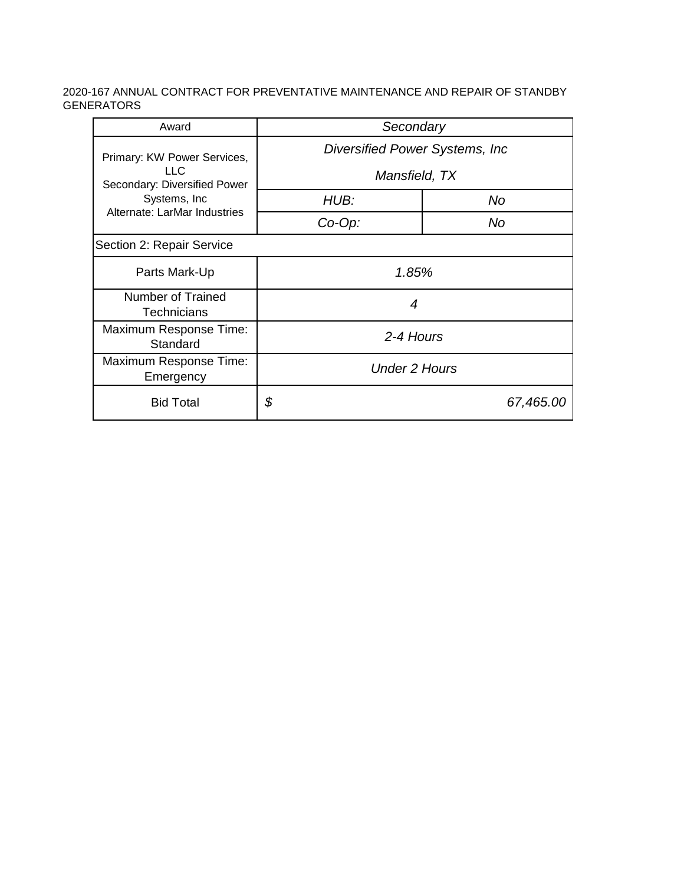| Award                                | Secondary                       |    |  |  |  |  |  |
|--------------------------------------|---------------------------------|----|--|--|--|--|--|
| Primary: KW Power Services,          | Diversified Power Systems, Inc. |    |  |  |  |  |  |
| LLC.<br>Secondary: Diversified Power | Mansfield, TX                   |    |  |  |  |  |  |
| Systems, Inc.                        | HUB:                            | No |  |  |  |  |  |
| Alternate: LarMar Industries         | $Co-Op$ :                       | No |  |  |  |  |  |
| Section 2: Repair Service            |                                 |    |  |  |  |  |  |
| Parts Mark-Up                        | 1.85%                           |    |  |  |  |  |  |
| Number of Trained<br>Technicians     | 4                               |    |  |  |  |  |  |
| Maximum Response Time:<br>Standard   | 2-4 Hours                       |    |  |  |  |  |  |
| Maximum Response Time:<br>Emergency  | <b>Under 2 Hours</b>            |    |  |  |  |  |  |
| <b>Bid Total</b>                     | \$<br>67,465.00                 |    |  |  |  |  |  |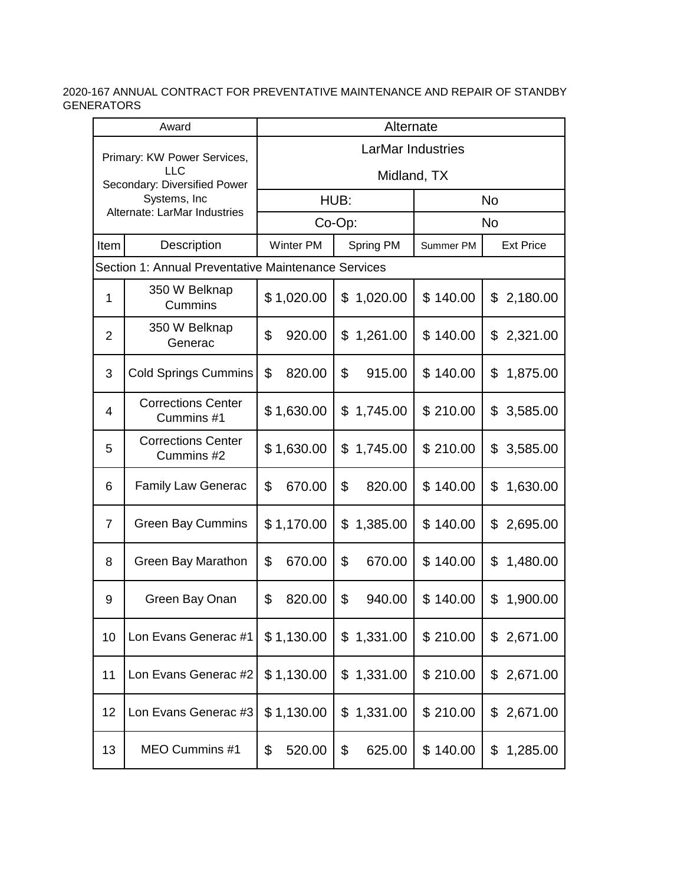| Award          |                                                     | Alternate                |                |           |                  |  |  |  |  |  |
|----------------|-----------------------------------------------------|--------------------------|----------------|-----------|------------------|--|--|--|--|--|
|                | Primary: KW Power Services,                         | <b>LarMar Industries</b> |                |           |                  |  |  |  |  |  |
|                | LLC<br>Secondary: Diversified Power                 | Midland, TX              |                |           |                  |  |  |  |  |  |
|                | Systems, Inc<br>Alternate: LarMar Industries        |                          | HUB:           |           | <b>No</b>        |  |  |  |  |  |
|                |                                                     |                          | Co-Op:         |           | <b>No</b>        |  |  |  |  |  |
| Item           | Description                                         | Winter PM                | Spring PM      | Summer PM | <b>Ext Price</b> |  |  |  |  |  |
|                | Section 1: Annual Preventative Maintenance Services |                          |                |           |                  |  |  |  |  |  |
| $\mathbf{1}$   | 350 W Belknap<br>Cummins                            | \$1,020.00               | 1,020.00<br>\$ | \$140.00  | \$<br>2,180.00   |  |  |  |  |  |
| $\overline{2}$ | 350 W Belknap<br>Generac                            | \$<br>920.00             | 1,261.00<br>\$ | \$140.00  | 2,321.00<br>\$   |  |  |  |  |  |
| 3              | <b>Cold Springs Cummins</b>                         | \$<br>820.00             | \$<br>915.00   | \$140.00  | 1,875.00<br>\$   |  |  |  |  |  |
| 4              | <b>Corrections Center</b><br>Cummins #1             | \$1,630.00               | 1,745.00<br>\$ | \$210.00  | 3,585.00<br>\$   |  |  |  |  |  |
| 5              | <b>Corrections Center</b><br>Cummins #2             | \$1,630.00               | \$<br>1,745.00 | \$210.00  | \$<br>3,585.00   |  |  |  |  |  |
| 6              | <b>Family Law Generac</b>                           | \$<br>670.00             | \$<br>820.00   | \$140.00  | \$<br>1,630.00   |  |  |  |  |  |
| $\overline{7}$ | <b>Green Bay Cummins</b>                            | \$1,170.00               | \$<br>1,385.00 | \$140.00  | 2,695.00<br>\$   |  |  |  |  |  |
| 8              | Green Bay Marathon                                  | \$<br>670.00             | \$<br>670.00   | \$140.00  | 1,480.00<br>\$   |  |  |  |  |  |
| 9              | Green Bay Onan                                      | \$<br>820.00             | \$<br>940.00   | \$140.00  | \$<br>1,900.00   |  |  |  |  |  |
| 10             | Lon Evans Generac #1                                | \$1,130.00               | 1,331.00<br>\$ | \$210.00  | \$2,671.00       |  |  |  |  |  |
| 11             | Lon Evans Generac #2                                | \$1,130.00               | 1,331.00<br>\$ | \$210.00  | \$2,671.00       |  |  |  |  |  |
| 12             | Lon Evans Generac #3                                | \$1,130.00               | 1,331.00<br>\$ | \$210.00  | \$2,671.00       |  |  |  |  |  |
| 13             | MEO Cummins #1                                      | \$<br>520.00             | \$<br>625.00   | \$140.00  | \$<br>1,285.00   |  |  |  |  |  |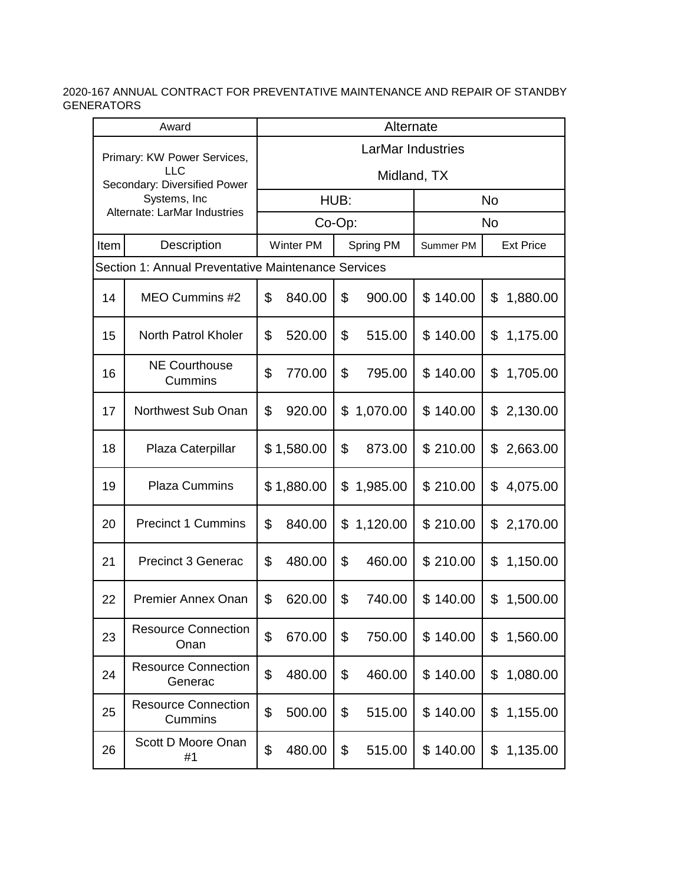| Award |                                                     |                          | Alternate        |      |           |           |                  |  |  |  |
|-------|-----------------------------------------------------|--------------------------|------------------|------|-----------|-----------|------------------|--|--|--|
|       | Primary: KW Power Services,                         | <b>LarMar Industries</b> |                  |      |           |           |                  |  |  |  |
|       | LLC<br>Secondary: Diversified Power                 | Midland, TX              |                  |      |           |           |                  |  |  |  |
|       | Systems, Inc<br>Alternate: LarMar Industries        |                          |                  | HUB: |           |           | <b>No</b>        |  |  |  |
|       |                                                     |                          | Co-Op:           |      |           |           | <b>No</b>        |  |  |  |
| Item  | Description                                         |                          | <b>Winter PM</b> |      | Spring PM | Summer PM | <b>Ext Price</b> |  |  |  |
|       | Section 1: Annual Preventative Maintenance Services |                          |                  |      |           |           |                  |  |  |  |
| 14    | MEO Cummins #2                                      | \$                       | 840.00           | \$   | 900.00    | \$140.00  | \$<br>1,880.00   |  |  |  |
| 15    | North Patrol Kholer                                 | \$                       | 520.00           | \$   | 515.00    | \$140.00  | \$<br>1,175.00   |  |  |  |
| 16    | <b>NE Courthouse</b><br>Cummins                     | \$                       | 770.00           | \$   | 795.00    | \$140.00  | 1,705.00<br>\$   |  |  |  |
| 17    | Northwest Sub Onan                                  | \$                       | 920.00           | \$   | 1,070.00  | \$140.00  | 2,130.00<br>\$   |  |  |  |
| 18    | Plaza Caterpillar                                   |                          | \$1,580.00       | \$   | 873.00    | \$210.00  | 2,663.00<br>\$   |  |  |  |
| 19    | <b>Plaza Cummins</b>                                |                          | \$1,880.00       | \$   | 1,985.00  | \$210.00  | \$<br>4,075.00   |  |  |  |
| 20    | <b>Precinct 1 Cummins</b>                           | \$                       | 840.00           | \$   | 1,120.00  | \$210.00  | \$<br>2,170.00   |  |  |  |
| 21    | <b>Precinct 3 Generac</b>                           | \$                       | 480.00           | \$   | 460.00    | \$210.00  | 1,150.00<br>\$   |  |  |  |
| 22    | <b>Premier Annex Onan</b>                           | \$                       | 620.00           | \$   | 740.00    | \$140.00  | \$<br>1,500.00   |  |  |  |
| 23    | <b>Resource Connection</b><br>Onan                  | \$                       | 670.00           | \$   | 750.00    | \$140.00  | 1,560.00<br>\$   |  |  |  |
| 24    | <b>Resource Connection</b><br>Generac               | \$                       | 480.00           | \$   | 460.00    | \$140.00  | 1,080.00<br>\$   |  |  |  |
| 25    | <b>Resource Connection</b><br>Cummins               | \$                       | 500.00           | \$   | 515.00    | \$140.00  | \$<br>1,155.00   |  |  |  |
| 26    | Scott D Moore Onan<br>#1                            | \$                       | 480.00           | \$   | 515.00    | \$140.00  | \$<br>1,135.00   |  |  |  |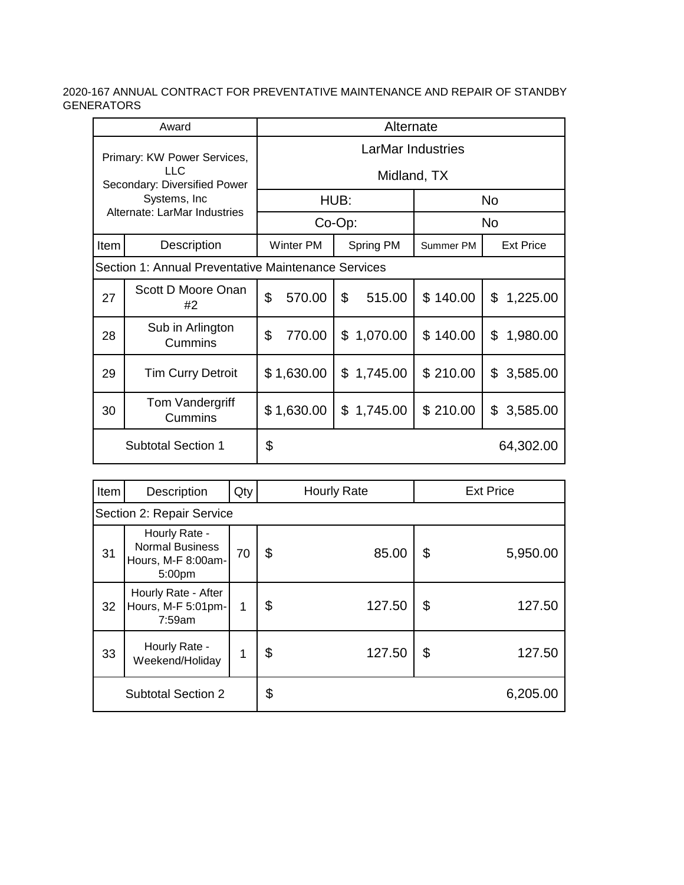| Award                                                               |                                                     | Alternate         |             |      |            |           |    |                  |  |
|---------------------------------------------------------------------|-----------------------------------------------------|-------------------|-------------|------|------------|-----------|----|------------------|--|
| Primary: KW Power Services,<br>LLC.<br>Secondary: Diversified Power |                                                     | LarMar Industries |             |      |            |           |    |                  |  |
|                                                                     |                                                     |                   | Midland, TX |      |            |           |    |                  |  |
|                                                                     | Systems, Inc.                                       |                   |             | HUB: |            | <b>No</b> |    |                  |  |
| Alternate: LarMar Industries                                        |                                                     |                   | $Co-Op$ :   |      |            | <b>No</b> |    |                  |  |
| Item                                                                | Description                                         | <b>Winter PM</b>  |             |      | Spring PM  | Summer PM |    | <b>Ext Price</b> |  |
|                                                                     | Section 1: Annual Preventative Maintenance Services |                   |             |      |            |           |    |                  |  |
| 27                                                                  | Scott D Moore Onan<br>#2                            | \$                | 570.00      | \$   | 515.00     | \$140.00  | \$ | 1,225.00         |  |
| 28                                                                  | Sub in Arlington<br>Cummins                         | \$                | 770.00      |      | \$1,070.00 | \$140.00  | \$ | 1,980.00         |  |
| 29                                                                  | <b>Tim Curry Detroit</b>                            |                   | \$1,630.00  |      | \$1,745.00 | \$210.00  | \$ | 3,585.00         |  |
| 30                                                                  | Tom Vandergriff<br>Cummins                          |                   | \$1,630.00  |      | \$1,745.00 | \$210.00  | \$ | 3,585.00         |  |
| <b>Subtotal Section 1</b>                                           |                                                     | \$                |             |      |            |           |    | 64,302.00        |  |

| Item                      | Description                                                             | Qty | <b>Hourly Rate</b> |        |    | <b>Ext Price</b> |  |  |
|---------------------------|-------------------------------------------------------------------------|-----|--------------------|--------|----|------------------|--|--|
| Section 2: Repair Service |                                                                         |     |                    |        |    |                  |  |  |
| 31                        | Hourly Rate -<br><b>Normal Business</b><br>Hours, M-F 8:00am-<br>5:00pm | 70  | \$                 | 85.00  | \$ | 5,950.00         |  |  |
| 32                        | Hourly Rate - After<br>Hours, M-F 5:01pm-<br>7:59am                     | 1   | \$                 | 127.50 | \$ | 127.50           |  |  |
| 33                        | Hourly Rate -<br>Weekend/Holiday                                        |     | \$                 | 127.50 | \$ | 127.50           |  |  |
| <b>Subtotal Section 2</b> |                                                                         |     | \$                 |        |    | 6,205.00         |  |  |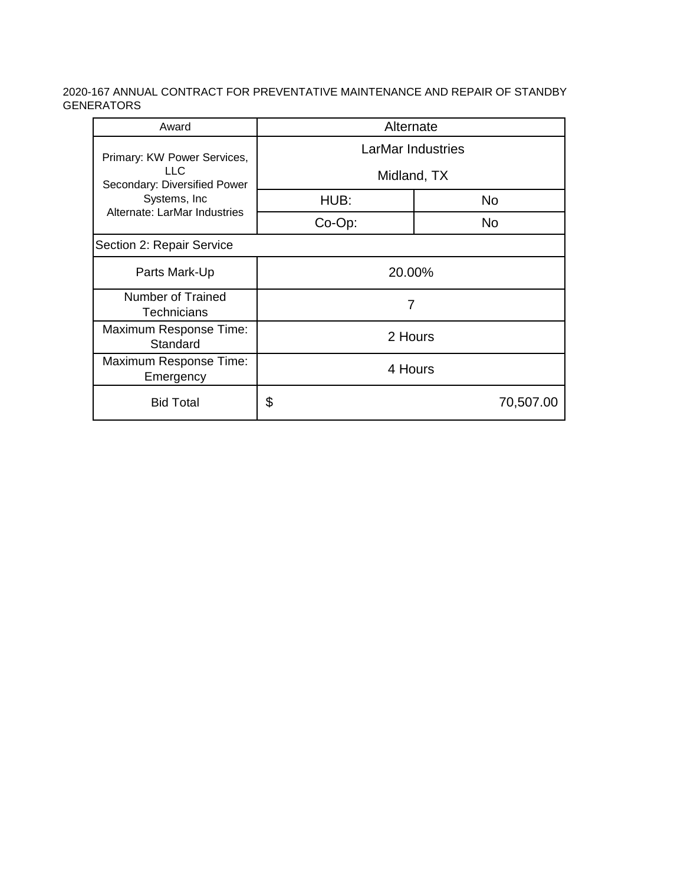| Award                                                 | Alternate         |           |  |  |  |  |
|-------------------------------------------------------|-------------------|-----------|--|--|--|--|
| Primary: KW Power Services,                           | LarMar Industries |           |  |  |  |  |
| LLC.<br>Secondary: Diversified Power<br>Systems, Inc. | Midland, TX       |           |  |  |  |  |
|                                                       | HUB:              | <b>No</b> |  |  |  |  |
| Alternate: LarMar Industries                          | Co-Op:            | No.       |  |  |  |  |
| Section 2: Repair Service                             |                   |           |  |  |  |  |
| Parts Mark-Up                                         | 20.00%            |           |  |  |  |  |
| Number of Trained<br><b>Technicians</b>               | 7                 |           |  |  |  |  |
| Maximum Response Time:<br>Standard                    | 2 Hours           |           |  |  |  |  |
| Maximum Response Time:<br>Emergency                   | 4 Hours           |           |  |  |  |  |
| <b>Bid Total</b>                                      | \$<br>70,507.00   |           |  |  |  |  |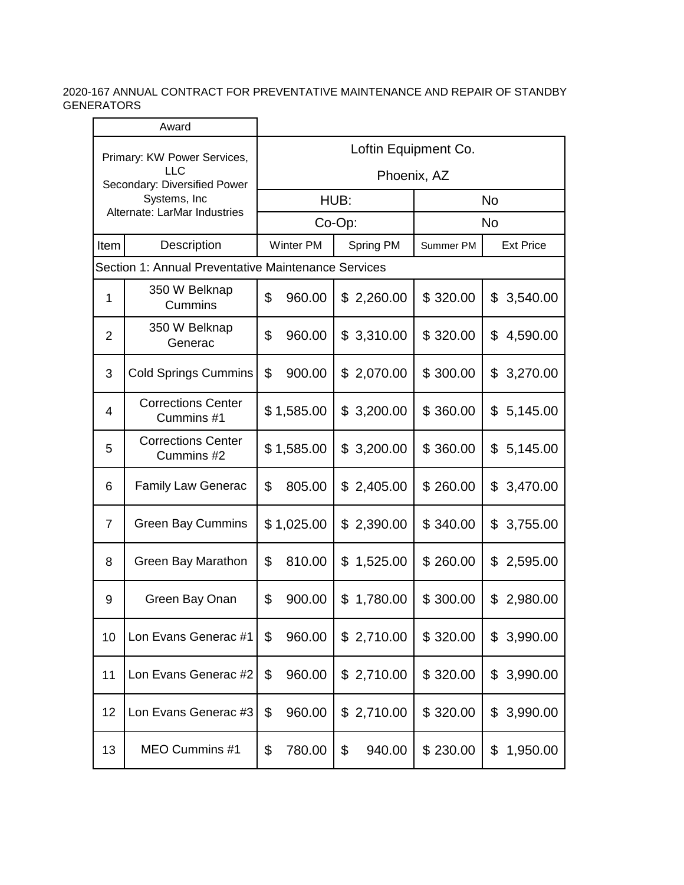| Award                                      |                                                     |                      |                  |           |            |           |                  |  |  |  |
|--------------------------------------------|-----------------------------------------------------|----------------------|------------------|-----------|------------|-----------|------------------|--|--|--|
| Primary: KW Power Services,                |                                                     | Loftin Equipment Co. |                  |           |            |           |                  |  |  |  |
| <b>LLC</b><br>Secondary: Diversified Power |                                                     | Phoenix, AZ          |                  |           |            |           |                  |  |  |  |
|                                            | Systems, Inc.<br>Alternate: LarMar Industries       |                      |                  | HUB:      |            | <b>No</b> |                  |  |  |  |
|                                            |                                                     |                      | Co-Op:           |           |            | <b>No</b> |                  |  |  |  |
| Item                                       | Description                                         |                      | <b>Winter PM</b> | Spring PM |            | Summer PM | <b>Ext Price</b> |  |  |  |
|                                            | Section 1: Annual Preventative Maintenance Services |                      |                  |           |            |           |                  |  |  |  |
| 1                                          | 350 W Belknap<br>Cummins                            | \$                   | 960.00           | \$        | 2,260.00   | \$320.00  | \$<br>3,540.00   |  |  |  |
| $\overline{2}$                             | 350 W Belknap<br>Generac                            | \$                   | 960.00           |           | \$3,310.00 | \$320.00  | 4,590.00<br>\$   |  |  |  |
| 3                                          | <b>Cold Springs Cummins</b>                         | \$                   | 900.00           |           | \$2,070.00 | \$300.00  | \$<br>3,270.00   |  |  |  |
| 4                                          | <b>Corrections Center</b><br>Cummins #1             |                      | \$1,585.00       | \$        | 3,200.00   | \$360.00  | \$<br>5,145.00   |  |  |  |
| 5                                          | <b>Corrections Center</b><br>Cummins #2             |                      | \$1,585.00       | \$        | 3,200.00   | \$360.00  | 5,145.00<br>\$   |  |  |  |
| 6                                          | <b>Family Law Generac</b>                           | \$                   | 805.00           | \$        | 2,405.00   | \$260.00  | \$<br>3,470.00   |  |  |  |
| 7                                          | <b>Green Bay Cummins</b>                            |                      | \$1,025.00       |           | \$2,390.00 | \$340.00  | \$<br>3,755.00   |  |  |  |
| 8                                          | Green Bay Marathon                                  | \$                   | 810.00           | \$        | 1,525.00   | \$260.00  | \$<br>2,595.00   |  |  |  |
| 9                                          | Green Bay Onan                                      | \$                   | 900.00           | \$        | 1,780.00   | \$300.00  | 2,980.00<br>\$   |  |  |  |
| 10                                         | Lon Evans Generac #1                                | \$                   | 960.00           |           | \$2,710.00 | \$320.00  | 3,990.00<br>\$   |  |  |  |
| 11                                         | Lon Evans Generac #2                                | \$                   | 960.00           |           | \$2,710.00 | \$320.00  | 3,990.00<br>\$   |  |  |  |
| 12                                         | Lon Evans Generac #3                                | \$                   | 960.00           |           | \$2,710.00 | \$320.00  | 3,990.00<br>\$   |  |  |  |
| 13                                         | MEO Cummins #1                                      | \$                   | 780.00           | \$        | 940.00     | \$230.00  | 1,950.00<br>\$   |  |  |  |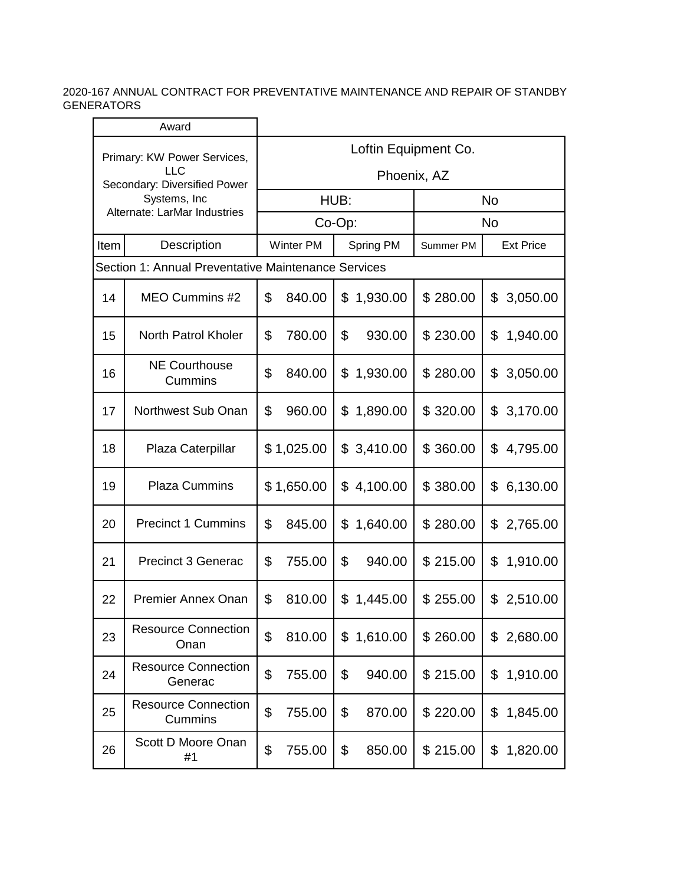| Award                                                                     |                                                     |                      |                  |           |            |           |                  |  |  |
|---------------------------------------------------------------------------|-----------------------------------------------------|----------------------|------------------|-----------|------------|-----------|------------------|--|--|
| Primary: KW Power Services,<br><b>LLC</b><br>Secondary: Diversified Power |                                                     | Loftin Equipment Co. |                  |           |            |           |                  |  |  |
|                                                                           |                                                     | Phoenix, AZ          |                  |           |            |           |                  |  |  |
|                                                                           | Systems, Inc.<br>Alternate: LarMar Industries       |                      |                  | HUB:      |            | <b>No</b> |                  |  |  |
|                                                                           |                                                     |                      | $Co-Op$ :        |           |            | <b>No</b> |                  |  |  |
| Item                                                                      | Description                                         |                      | <b>Winter PM</b> | Spring PM |            | Summer PM | <b>Ext Price</b> |  |  |
|                                                                           | Section 1: Annual Preventative Maintenance Services |                      |                  |           |            |           |                  |  |  |
| 14                                                                        | MEO Cummins #2                                      | \$                   | 840.00           | \$        | 1,930.00   | \$280.00  | \$<br>3,050.00   |  |  |
| 15                                                                        | North Patrol Kholer                                 | \$                   | 780.00           | \$        | 930.00     | \$230.00  | \$<br>1,940.00   |  |  |
| 16                                                                        | <b>NE Courthouse</b><br>Cummins                     | \$                   | 840.00           | \$        | 1,930.00   | \$280.00  | \$<br>3,050.00   |  |  |
| 17                                                                        | Northwest Sub Onan                                  | \$                   | 960.00           | \$        | 1,890.00   | \$320.00  | \$<br>3,170.00   |  |  |
| 18                                                                        | Plaza Caterpillar                                   |                      | \$1,025.00       |           | \$3,410.00 | \$360.00  | \$<br>4,795.00   |  |  |
| 19                                                                        | <b>Plaza Cummins</b>                                |                      | \$1,650.00       |           | \$4,100.00 | \$380.00  | 6,130.00<br>\$   |  |  |
| 20                                                                        | <b>Precinct 1 Cummins</b>                           | \$                   | 845.00           | \$        | 1,640.00   | \$280.00  | \$2,765.00       |  |  |
| 21                                                                        | <b>Precinct 3 Generac</b>                           | \$                   | 755.00           | \$        | 940.00     | \$215.00  | 1,910.00<br>\$   |  |  |
| 22                                                                        | <b>Premier Annex Onan</b>                           | \$                   | 810.00           | \$        | 1,445.00   | \$255.00  | 2,510.00<br>\$   |  |  |
| 23                                                                        | <b>Resource Connection</b><br>Onan                  | \$                   | 810.00           | \$        | 1,610.00   | \$260.00  | 2,680.00<br>\$   |  |  |
| 24                                                                        | <b>Resource Connection</b><br>Generac               | \$                   | 755.00           | \$        | 940.00     | \$215.00  | \$<br>1,910.00   |  |  |
| 25                                                                        | <b>Resource Connection</b><br>Cummins               | \$                   | 755.00           | \$        | 870.00     | \$220.00  | \$<br>1,845.00   |  |  |
| 26                                                                        | Scott D Moore Onan<br>#1                            | \$                   | 755.00           | \$        | 850.00     | \$215.00  | 1,820.00<br>\$   |  |  |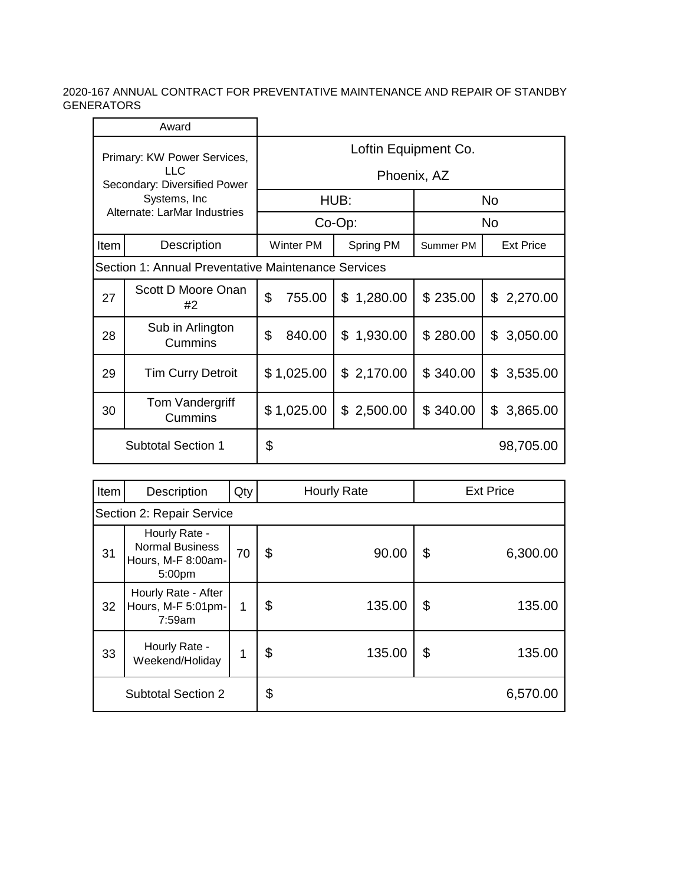|                                                                     | Award                                               |                      |                  |                |           |                  |  |  |
|---------------------------------------------------------------------|-----------------------------------------------------|----------------------|------------------|----------------|-----------|------------------|--|--|
| Primary: KW Power Services,<br>LLC.<br>Secondary: Diversified Power |                                                     | Loftin Equipment Co. |                  |                |           |                  |  |  |
|                                                                     |                                                     |                      | Phoenix, AZ      |                |           |                  |  |  |
|                                                                     | Systems, Inc                                        |                      |                  | HUB:           | <b>No</b> |                  |  |  |
| Alternate: LarMar Industries                                        |                                                     |                      |                  | Co-Op:         | No.       |                  |  |  |
| Item                                                                | Description                                         |                      | <b>Winter PM</b> | Spring PM      | Summer PM | <b>Ext Price</b> |  |  |
|                                                                     | Section 1: Annual Preventative Maintenance Services |                      |                  |                |           |                  |  |  |
| 27                                                                  | Scott D Moore Onan<br>#2                            | \$<br>755.00         |                  | \$<br>1,280.00 | \$235.00  | \$<br>2,270.00   |  |  |
| 28                                                                  | Sub in Arlington<br>Cummins                         | \$                   | 840.00           | \$<br>1,930.00 | \$280.00  | \$<br>3,050.00   |  |  |
| 29                                                                  | <b>Tim Curry Detroit</b>                            |                      | \$1,025.00       | \$2,170.00     | \$340.00  | \$<br>3,535.00   |  |  |
| 30                                                                  | Tom Vandergriff<br>Cummins                          |                      | \$1,025.00       | \$2,500.00     | \$340.00  | \$<br>3,865.00   |  |  |
| <b>Subtotal Section 1</b>                                           |                                                     | \$                   |                  |                |           | 98,705.00        |  |  |

| Item                      | Description                                                             | Qty | <b>Hourly Rate</b> |        |    | <b>Ext Price</b> |  |  |
|---------------------------|-------------------------------------------------------------------------|-----|--------------------|--------|----|------------------|--|--|
| Section 2: Repair Service |                                                                         |     |                    |        |    |                  |  |  |
| 31                        | Hourly Rate -<br><b>Normal Business</b><br>Hours, M-F 8:00am-<br>5:00pm | 70  | \$                 | 90.00  | \$ | 6,300.00         |  |  |
| 32                        | Hourly Rate - After<br>Hours, M-F 5:01pm-<br>7:59am                     | 1   | \$                 | 135.00 | \$ | 135.00           |  |  |
| 33                        | Hourly Rate -<br>Weekend/Holiday                                        | 1   | \$                 | 135.00 | \$ | 135.00           |  |  |
| <b>Subtotal Section 2</b> |                                                                         |     | \$                 |        |    | 6,570.00         |  |  |